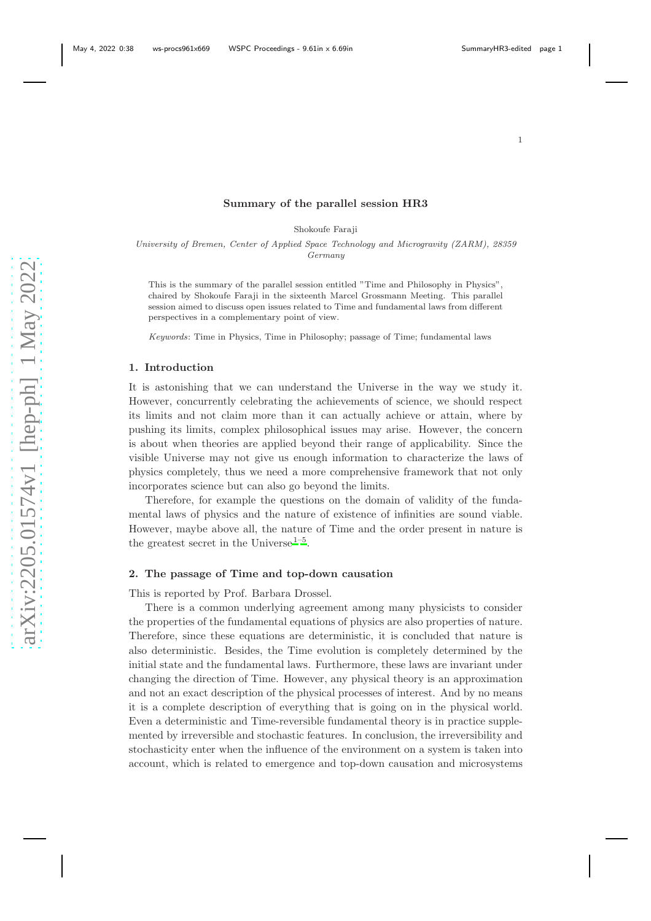### Summary of the parallel session HR3

Shokoufe Faraji

University of Bremen, Center of Applied Space Technology and Microgravity (ZARM), 28359 Germany

This is the summary of the parallel session entitled "Time and Philosophy in Physics", chaired by Shokoufe Faraji in the sixteenth Marcel Grossmann Meeting. This parallel session aimed to discuss open issues related to Time and fundamental laws from different perspectives in a complementary point of view.

Keywords: Time in Physics, Time in Philosophy; passage of Time; fundamental laws

#### 1. Introduction

It is astonishing that we can understand the Universe in the way we study it. However, concurrently celebrating the achievements of science, we should respect its limits and not claim more than it can actually achieve or attain, where by pushing its limits, complex philosophical issues may arise. However, the concern is about when theories are applied beyond their range of applicability. Since the visible Universe may not give us enough information to characterize the laws of physics completely, thus we need a more comprehensive framework that not only incorporates science but can also go beyond the limits.

Therefore, for example the questions on the domain of validity of the fundamental laws of physics and the nature of existence of infinities are sound viable. However, maybe above all, the nature of Time and the order present in nature is th[e](#page-4-0) greatest secret in the Universe<sup>1-5</sup>.

### 2. The passage of Time and top-down causation

This is reported by Prof. Barbara Drossel.

There is a common underlying agreement among many physicists to consider the properties of the fundamental equations of physics are also properties of nature. Therefore, since these equations are deterministic, it is concluded that nature is also deterministic. Besides, the Time evolution is completely determined by the initial state and the fundamental laws. Furthermore, these laws are invariant under changing the direction of Time. However, any physical theory is an approximation and not an exact description of the physical processes of interest. And by no means it is a complete description of everything that is going on in the physical world. Even a deterministic and Time-reversible fundamental theory is in practice supplemented by irreversible and stochastic features. In conclusion, the irreversibility and stochasticity enter when the influence of the environment on a system is taken into account, which is related to emergence and top-down causation and microsystems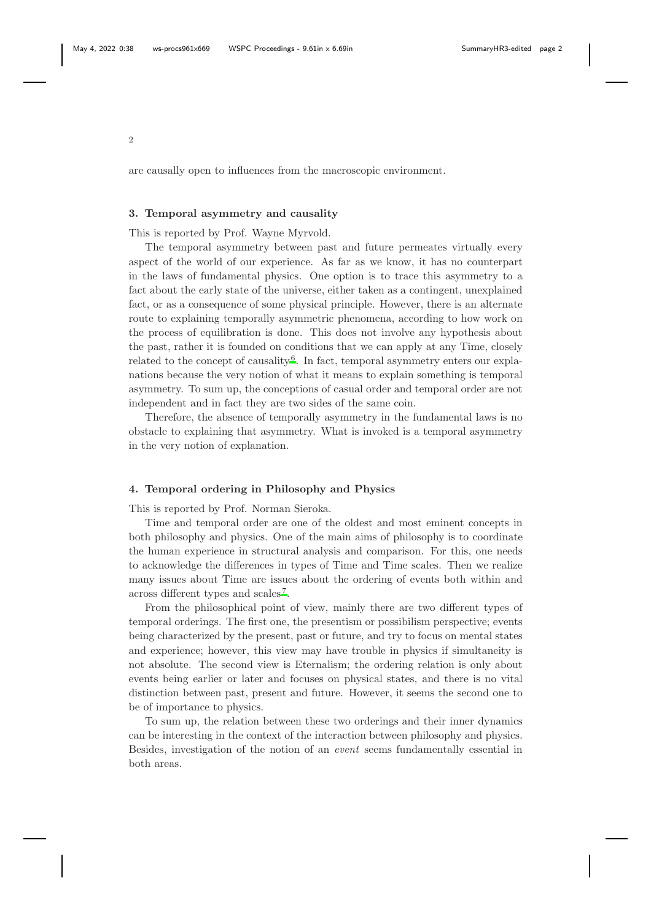are causally open to influences from the macroscopic environment.

#### 3. Temporal asymmetry and causality

This is reported by Prof. Wayne Myrvold.

The temporal asymmetry between past and future permeates virtually every aspect of the world of our experience. As far as we know, it has no counterpart in the laws of fundamental physics. One option is to trace this asymmetry to a fact about the early state of the universe, either taken as a contingent, unexplained fact, or as a consequence of some physical principle. However, there is an alternate route to explaining temporally asymmetric phenomena, according to how work on the process of equilibration is done. This does not involve any hypothesis about the past, rather it is founded on conditions that we can apply at any Time, closely related to the concept of causality<sup>6</sup>. In fact, temporal asymmetry enters our explanations because the very notion of what it means to explain something is temporal asymmetry. To sum up, the conceptions of casual order and temporal order are not independent and in fact they are two sides of the same coin.

Therefore, the absence of temporally asymmetry in the fundamental laws is no obstacle to explaining that asymmetry. What is invoked is a temporal asymmetry in the very notion of explanation.

### 4. Temporal ordering in Philosophy and Physics

This is reported by Prof. Norman Sieroka.

Time and temporal order are one of the oldest and most eminent concepts in both philosophy and physics. One of the main aims of philosophy is to coordinate the human experience in structural analysis and comparison. For this, one needs to acknowledge the differences in types of Time and Time scales. Then we realize many issues about Time are issues about the ordering of events both within and across different types and scales<sup>7</sup>.

From the philosophical point of view, mainly there are two different types of temporal orderings. The first one, the presentism or possibilism perspective; events being characterized by the present, past or future, and try to focus on mental states and experience; however, this view may have trouble in physics if simultaneity is not absolute. The second view is Eternalism; the ordering relation is only about events being earlier or later and focuses on physical states, and there is no vital distinction between past, present and future. However, it seems the second one to be of importance to physics.

To sum up, the relation between these two orderings and their inner dynamics can be interesting in the context of the interaction between philosophy and physics. Besides, investigation of the notion of an event seems fundamentally essential in both areas.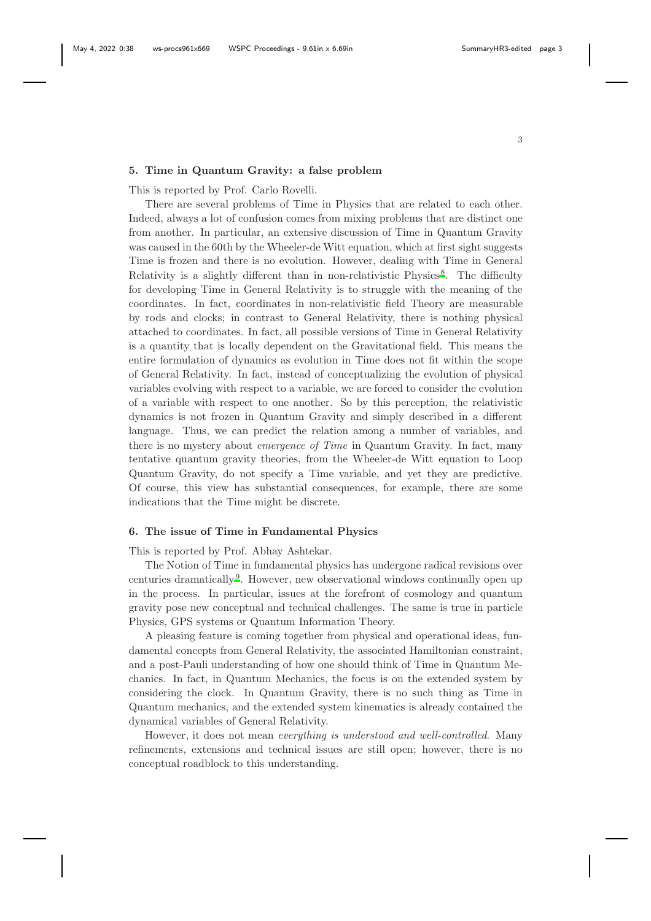### 5. Time in Quantum Gravity: a false problem

This is reported by Prof. Carlo Rovelli.

There are several problems of Time in Physics that are related to each other. Indeed, always a lot of confusion comes from mixing problems that are distinct one from another. In particular, an extensive discussion of Time in Quantum Gravity was caused in the 60th by the Wheeler-de Witt equation, which at first sight suggests Time is frozen and there is no evolution. However, dealing with Time in General Relativity is a slightly different than in non-relativistic Physics<sup>8</sup>. The difficulty for developing Time in General Relativity is to struggle with the meaning of the coordinates. In fact, coordinates in non-relativistic field Theory are measurable by rods and clocks; in contrast to General Relativity, there is nothing physical attached to coordinates. In fact, all possible versions of Time in General Relativity is a quantity that is locally dependent on the Gravitational field. This means the entire formulation of dynamics as evolution in Time does not fit within the scope of General Relativity. In fact, instead of conceptualizing the evolution of physical variables evolving with respect to a variable, we are forced to consider the evolution of a variable with respect to one another. So by this perception, the relativistic dynamics is not frozen in Quantum Gravity and simply described in a different language. Thus, we can predict the relation among a number of variables, and there is no mystery about emergence of Time in Quantum Gravity. In fact, many tentative quantum gravity theories, from the Wheeler-de Witt equation to Loop Quantum Gravity, do not specify a Time variable, and yet they are predictive. Of course, this view has substantial consequences, for example, there are some indications that the Time might be discrete.

# 6. The issue of Time in Fundamental Physics

This is reported by Prof. Abhay Ashtekar.

The Notion of Time in fundamental physics has undergone radical revisions over centuries dramaticall[y](#page-5-0)<sup>9</sup>. However, new observational windows continually open up in the process. In particular, issues at the forefront of cosmology and quantum gravity pose new conceptual and technical challenges. The same is true in particle Physics, GPS systems or Quantum Information Theory.

A pleasing feature is coming together from physical and operational ideas, fundamental concepts from General Relativity, the associated Hamiltonian constraint, and a post-Pauli understanding of how one should think of Time in Quantum Mechanics. In fact, in Quantum Mechanics, the focus is on the extended system by considering the clock. In Quantum Gravity, there is no such thing as Time in Quantum mechanics, and the extended system kinematics is already contained the dynamical variables of General Relativity.

However, it does not mean everything is understood and well-controlled. Many refinements, extensions and technical issues are still open; however, there is no conceptual roadblock to this understanding.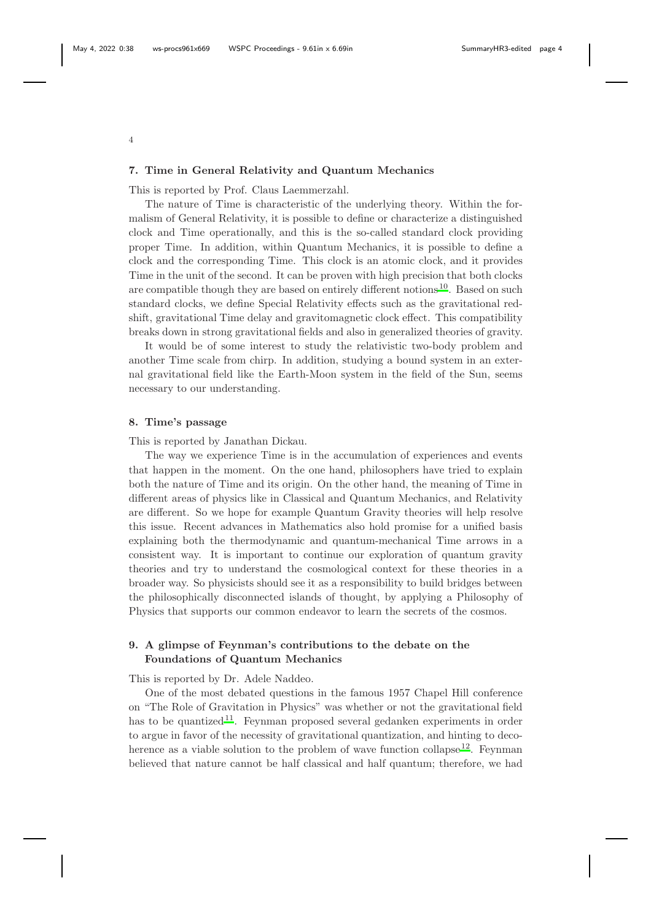4

### 7. Time in General Relativity and Quantum Mechanics

This is reported by Prof. Claus Laemmerzahl.

The nature of Time is characteristic of the underlying theory. Within the formalism of General Relativity, it is possible to define or characterize a distinguished clock and Time operationally, and this is the so-called standard clock providing proper Time. In addition, within Quantum Mechanics, it is possible to define a clock and the corresponding Time. This clock is an atomic clock, and it provides Time in the unit of the second. It can be proven with high precision that both clocks are compatible though they are based on entirely different notion[s](#page-5-1) <sup>10</sup>. Based on such standard clocks, we define Special Relativity effects such as the gravitational redshift, gravitational Time delay and gravitomagnetic clock effect. This compatibility breaks down in strong gravitational fields and also in generalized theories of gravity.

It would be of some interest to study the relativistic two-body problem and another Time scale from chirp. In addition, studying a bound system in an external gravitational field like the Earth-Moon system in the field of the Sun, seems necessary to our understanding.

### 8. Time's passage

This is reported by Janathan Dickau.

The way we experience Time is in the accumulation of experiences and events that happen in the moment. On the one hand, philosophers have tried to explain both the nature of Time and its origin. On the other hand, the meaning of Time in different areas of physics like in Classical and Quantum Mechanics, and Relativity are different. So we hope for example Quantum Gravity theories will help resolve this issue. Recent advances in Mathematics also hold promise for a unified basis explaining both the thermodynamic and quantum-mechanical Time arrows in a consistent way. It is important to continue our exploration of quantum gravity theories and try to understand the cosmological context for these theories in a broader way. So physicists should see it as a responsibility to build bridges between the philosophically disconnected islands of thought, by applying a Philosophy of Physics that supports our common endeavor to learn the secrets of the cosmos.

# 9. A glimpse of Feynman's contributions to the debate on the Foundations of Quantum Mechanics

This is reported by Dr. Adele Naddeo.

One of the most debated questions in the famous 1957 Chapel Hill conference on "The Role of Gravitation in Physics" was whether or not the gravitational field has to be quantized<sup>11</sup>. Feynman proposed several gedanken experiments in order to argue in favor of the necessity of gravitational quantization, and hinting to decoherence as a viable solution to the problem of wave function collapse<sup>12</sup>. Feynman believed that nature cannot be half classical and half quantum; therefore, we had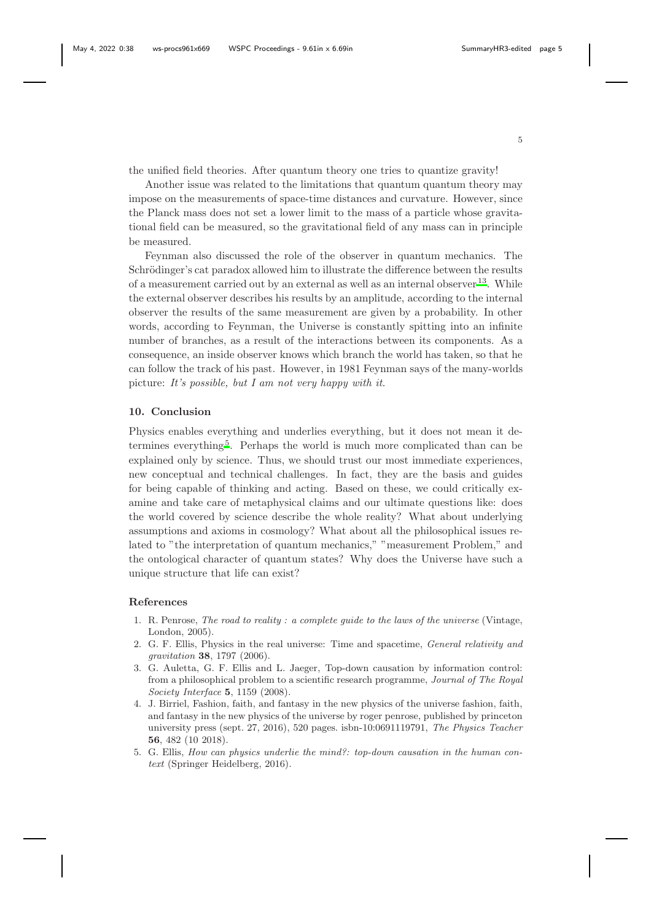the unified field theories. After quantum theory one tries to quantize gravity!

Another issue was related to the limitations that quantum quantum theory may impose on the measurements of space-time distances and curvature. However, since the Planck mass does not set a lower limit to the mass of a particle whose gravitational field can be measured, so the gravitational field of any mass can in principle be measured.

Feynman also discussed the role of the observer in quantum mechanics. The Schrödinger's cat paradox allowed him to illustrate the difference between the results of a measurement carried out by an external as well as an internal observer <sup>13</sup>[.](#page-5-2) While the external observer describes his results by an amplitude, according to the internal observer the results of the same measurement are given by a probability. In other words, according to Feynman, the Universe is constantly spitting into an infinite number of branches, as a result of the interactions between its components. As a consequence, an inside observer knows which branch the world has taken, so that he can follow the track of his past. However, in 1981 Feynman says of the many-worlds picture: It's possible, but I am not very happy with it.

## 10. Conclusion

Physics enables everything and underlies everything, but it does not mean it de-termines everything<sup>5</sup>[.](#page-4-1) Perhaps the world is much more complicated than can be explained only by science. Thus, we should trust our most immediate experiences, new conceptual and technical challenges. In fact, they are the basis and guides for being capable of thinking and acting. Based on these, we could critically examine and take care of metaphysical claims and our ultimate questions like: does the world covered by science describe the whole reality? What about underlying assumptions and axioms in cosmology? What about all the philosophical issues related to "the interpretation of quantum mechanics," "measurement Problem," and the ontological character of quantum states? Why does the Universe have such a unique structure that life can exist?

## References

- <span id="page-4-0"></span>1. R. Penrose, *The road to reality : a complete guide to the laws of the universe* (Vintage, London, 2005).
- 2. G. F. Ellis, Physics in the real universe: Time and spacetime, *General relativity and gravitation* 38, 1797 (2006).
- 3. G. Auletta, G. F. Ellis and L. Jaeger, Top-down causation by information control: from a philosophical problem to a scientific research programme, *Journal of The Royal Society Interface* 5, 1159 (2008).
- 4. J. Birriel, Fashion, faith, and fantasy in the new physics of the universe fashion, faith, and fantasy in the new physics of the universe by roger penrose, published by princeton university press (sept. 27, 2016), 520 pages. isbn-10:0691119791, *The Physics Teacher* 56, 482 (10 2018).
- <span id="page-4-1"></span>5. G. Ellis, *How can physics underlie the mind?: top-down causation in the human context* (Springer Heidelberg, 2016).